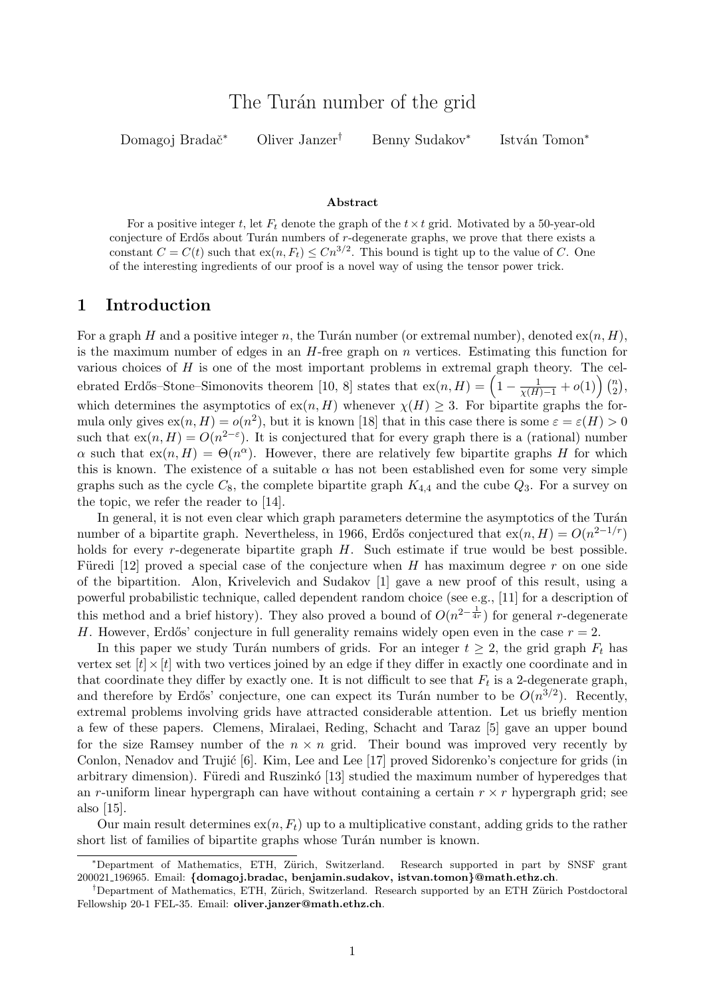Domagoj Bradač<sup>∗</sup> Oliver Janzer<sup>†</sup> Benny Sudakov<sup>∗</sup>

István Tomon<sup>\*</sup>

#### Abstract

For a positive integer t, let  $F_t$  denote the graph of the  $t \times t$  grid. Motivated by a 50-year-old conjecture of Erdős about Turán numbers of  $r$ -degenerate graphs, we prove that there exists a constant  $C = C(t)$  such that  $ex(n, F_t) \leq Cn^{3/2}$ . This bound is tight up to the value of C. One of the interesting ingredients of our proof is a novel way of using the tensor power trick.

### 1 Introduction

For a graph H and a positive integer n, the Turán number (or extremal number), denoted  $ex(n, H)$ , is the maximum number of edges in an  $H$ -free graph on n vertices. Estimating this function for various choices of  $H$  is one of the most important problems in extremal graph theory. The cel-ebrated Erdős–Stone–Simonovits theorem [\[10,](#page-8-0) [8\]](#page-8-1) states that  $\operatorname{ex}(n, H) = \left(1 - \frac{1}{\chi(H)-1} + o(1)\right) \binom{n}{2}$  $\binom{n}{2}$ which determines the asymptotics of  $ex(n, H)$  whenever  $\chi(H) \geq 3$ . For bipartite graphs the formula only gives  $ex(n, H) = o(n^2)$ , but it is known [\[18\]](#page-8-2) that in this case there is some  $\varepsilon = \varepsilon(H) > 0$ such that  $ex(n, H) = O(n^{2-\epsilon})$ . It is conjectured that for every graph there is a (rational) number  $\alpha$  such that  $ex(n, H) = \Theta(n^{\alpha})$ . However, there are relatively few bipartite graphs H for which this is known. The existence of a suitable  $\alpha$  has not been established even for some very simple graphs such as the cycle  $C_8$ , the complete bipartite graph  $K_{4,4}$  and the cube  $Q_3$ . For a survey on the topic, we refer the reader to [\[14\]](#page-8-3).

In general, it is not even clear which graph parameters determine the asymptotics of the Turán number of a bipartite graph. Nevertheless, in 1966, Erdős conjectured that  $ex(n, H) = O(n^{2-1/r})$ holds for every *r*-degenerate bipartite graph H. Such estimate if true would be best possible. Füredi [\[12\]](#page-8-4) proved a special case of the conjecture when H has maximum degree r on one side of the bipartition. Alon, Krivelevich and Sudakov [\[1\]](#page-7-0) gave a new proof of this result, using a powerful probabilistic technique, called dependent random choice (see e.g., [\[11\]](#page-8-5) for a description of this method and a brief history). They also proved a bound of  $O(n^{2-\frac{1}{4r}})$  for general r-degenerate H. However, Erdős' conjecture in full generality remains widely open even in the case  $r = 2$ .

In this paper we study Turán numbers of grids. For an integer  $t \geq 2$ , the grid graph  $F_t$  has vertex set  $|t| \times |t|$  with two vertices joined by an edge if they differ in exactly one coordinate and in that coordinate they differ by exactly one. It is not difficult to see that  $F_t$  is a 2-degenerate graph, and therefore by Erdős' conjecture, one can expect its Turán number to be  $O(n^{3/2})$ . Recently, extremal problems involving grids have attracted considerable attention. Let us briefly mention a few of these papers. Clemens, Miralaei, Reding, Schacht and Taraz [\[5\]](#page-7-1) gave an upper bound for the size Ramsey number of the  $n \times n$  grid. Their bound was improved very recently by Conlon, Nenadov and Trujic  $[6]$ . Kim, Lee and Lee  $[17]$  proved Sidorenko's conjecture for grids (in arbitrary dimension). Füredi and Ruszinkó [\[13\]](#page-8-7) studied the maximum number of hyperedges that an r-uniform linear hypergraph can have without containing a certain  $r \times r$  hypergraph grid; see also [\[15\]](#page-8-8).

Our main result determines  $\exp(n, F_t)$  up to a multiplicative constant, adding grids to the rather short list of families of bipartite graphs whose Turán number is known.

<sup>\*</sup>Department of Mathematics, ETH, Zürich, Switzerland. Research supported in part by SNSF grant 200021 196965. Email: {domagoj.bradac, benjamin.sudakov, istvan.tomon}@math.ethz.ch.

<sup>&</sup>lt;sup>†</sup>Department of Mathematics, ETH, Zürich, Switzerland. Research supported by an ETH Zürich Postdoctoral Fellowship 20-1 FEL-35. Email: oliver.janzer@math.ethz.ch.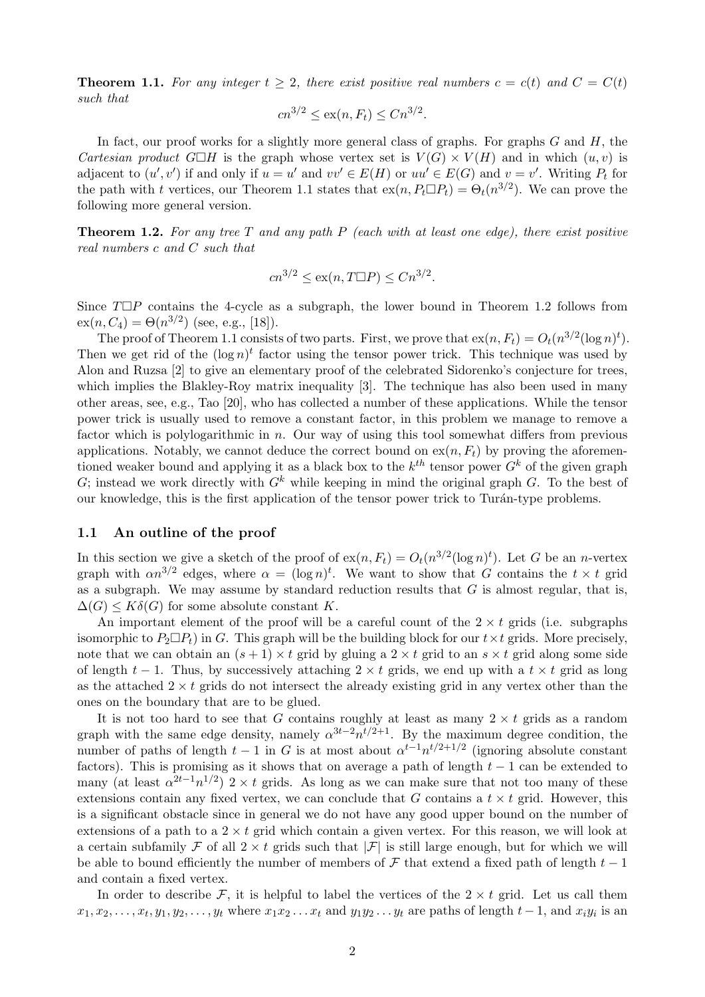<span id="page-1-0"></span>**Theorem 1.1.** For any integer  $t \geq 2$ , there exist positive real numbers  $c = c(t)$  and  $C = C(t)$ such that

$$
cn^{3/2} \le \text{ex}(n, F_t) \le Cn^{3/2}.
$$

In fact, our proof works for a slightly more general class of graphs. For graphs  $G$  and  $H$ , the Cartesian product  $G\Box H$  is the graph whose vertex set is  $V(G)\times V(H)$  and in which  $(u, v)$  is adjacent to  $(u', v')$  if and only if  $u = u'$  and  $vv' \in E(H)$  or  $uu' \in E(G)$  and  $v = v'$ . Writing  $P_t$  for the path with t vertices, our Theorem [1.1](#page-1-0) states that  $\exp(n, P_t \Box P_t) = \Theta_t(n^{3/2})$ . We can prove the following more general version.

<span id="page-1-1"></span>**Theorem 1.2.** For any tree T and any path P (each with at least one edge), there exist positive real numbers c and C such that

$$
cn^{3/2} \le \text{ex}(n, T\Box P) \le Cn^{3/2}.
$$

Since  $T\Box P$  contains the 4-cycle as a subgraph, the lower bound in Theorem [1.2](#page-1-1) follows from  $ex(n, C_4) = \Theta(n^{3/2})$  (see, e.g., [\[18\]](#page-8-2)).

The proof of Theorem [1.1](#page-1-0) consists of two parts. First, we prove that  $ex(n, F_t) = O_t(n^{3/2}(\log n)^t)$ . Then we get rid of the  $(\log n)^t$  factor using the tensor power trick. This technique was used by Alon and Ruzsa [\[2\]](#page-7-3) to give an elementary proof of the celebrated Sidorenko's conjecture for trees, which implies the Blakley-Roy matrix inequality [\[3\]](#page-7-4). The technique has also been used in many other areas, see, e.g., Tao [\[20\]](#page-8-9), who has collected a number of these applications. While the tensor power trick is usually used to remove a constant factor, in this problem we manage to remove a factor which is polylogarithmic in n. Our way of using this tool somewhat differs from previous applications. Notably, we cannot deduce the correct bound on  $ex(n, F_t)$  by proving the aforementioned weaker bound and applying it as a black box to the  $k^{th}$  tensor power  $G^k$  of the given graph G; instead we work directly with  $G<sup>k</sup>$  while keeping in mind the original graph G. To the best of our knowledge, this is the first application of the tensor power trick to Turán-type problems.

#### 1.1 An outline of the proof

In this section we give a sketch of the proof of  $ex(n, F_t) = O_t(n^{3/2}(\log n)^t)$ . Let G be an n-vertex graph with  $\alpha n^{3/2}$  edges, where  $\alpha = (\log n)^t$ . We want to show that G contains the  $t \times t$  grid as a subgraph. We may assume by standard reduction results that  $G$  is almost regular, that is,  $\Delta(G) \leq K\delta(G)$  for some absolute constant K.

An important element of the proof will be a careful count of the  $2 \times t$  grids (i.e. subgraphs isomorphic to  $P_2 \Box P_t$ ) in G. This graph will be the building block for our  $t \times t$  grids. More precisely, note that we can obtain an  $(s + 1) \times t$  grid by gluing a  $2 \times t$  grid to an  $s \times t$  grid along some side of length  $t-1$ . Thus, by successively attaching  $2 \times t$  grids, we end up with a  $t \times t$  grid as long as the attached  $2 \times t$  grids do not intersect the already existing grid in any vertex other than the ones on the boundary that are to be glued.

It is not too hard to see that G contains roughly at least as many  $2 \times t$  grids as a random graph with the same edge density, namely  $\alpha^{3t-2} n^{t/2+1}$ . By the maximum degree condition, the number of paths of length  $t-1$  in G is at most about  $\alpha^{t-1}n^{t/2+1/2}$  (ignoring absolute constant factors). This is promising as it shows that on average a path of length  $t-1$  can be extended to many (at least  $\alpha^{2t-1}n^{1/2}$ ) 2 × t grids. As long as we can make sure that not too many of these extensions contain any fixed vertex, we can conclude that G contains a  $t \times t$  grid. However, this is a significant obstacle since in general we do not have any good upper bound on the number of extensions of a path to a  $2 \times t$  grid which contain a given vertex. For this reason, we will look at a certain subfamily F of all  $2 \times t$  grids such that  $|\mathcal{F}|$  is still large enough, but for which we will be able to bound efficiently the number of members of  $\mathcal F$  that extend a fixed path of length  $t-1$ and contain a fixed vertex.

In order to describe F, it is helpful to label the vertices of the  $2 \times t$  grid. Let us call them  $x_1, x_2, \ldots, x_t, y_1, y_2, \ldots, y_t$  where  $x_1 x_2 \ldots x_t$  and  $y_1 y_2 \ldots y_t$  are paths of length  $t-1$ , and  $x_i y_i$  is an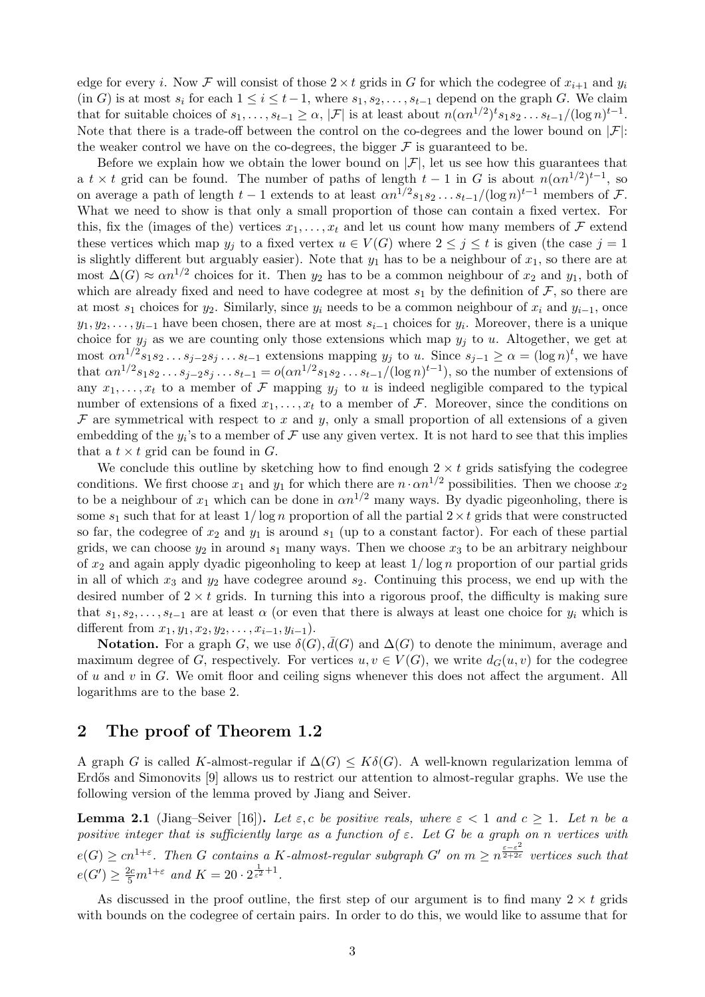edge for every i. Now F will consist of those  $2 \times t$  grids in G for which the codegree of  $x_{i+1}$  and  $y_i$ (in G) is at most  $s_i$  for each  $1 \le i \le t-1$ , where  $s_1, s_2, \ldots, s_{t-1}$  depend on the graph G. We claim that for suitable choices of  $s_1, \ldots, s_{t-1} \geq \alpha, |\mathcal{F}|$  is at least about  $n(\alpha n^{1/2})^t s_1 s_2 \ldots s_{t-1}/(\log n)^{t-1}$ . Note that there is a trade-off between the control on the co-degrees and the lower bound on  $|\mathcal{F}|$ : the weaker control we have on the co-degrees, the bigger  $\mathcal F$  is guaranteed to be.

Before we explain how we obtain the lower bound on  $|\mathcal{F}|$ , let us see how this guarantees that a  $t \times t$  grid can be found. The number of paths of length  $t-1$  in G is about  $n(\alpha n^{1/2})^{t-1}$ , so on average a path of length  $t-1$  extends to at least  $\alpha n^{1/2} s_1 s_2 \dots s_{t-1}/(\log n)^{t-1}$  members of F. What we need to show is that only a small proportion of those can contain a fixed vertex. For this, fix the (images of the) vertices  $x_1, \ldots, x_t$  and let us count how many members of F extend these vertices which map  $y_j$  to a fixed vertex  $u \in V(G)$  where  $2 \leq j \leq t$  is given (the case  $j = 1$ is slightly different but arguably easier). Note that  $y_1$  has to be a neighbour of  $x_1$ , so there are at most  $\Delta(G) \approx \alpha n^{1/2}$  choices for it. Then  $y_2$  has to be a common neighbour of  $x_2$  and  $y_1$ , both of which are already fixed and need to have codegree at most  $s_1$  by the definition of  $\mathcal{F}$ , so there are at most  $s_1$  choices for  $y_2$ . Similarly, since  $y_i$  needs to be a common neighbour of  $x_i$  and  $y_{i-1}$ , once  $y_1, y_2, \ldots, y_{i-1}$  have been chosen, there are at most  $s_{i-1}$  choices for  $y_i$ . Moreover, there is a unique choice for  $y_i$  as we are counting only those extensions which map  $y_i$  to u. Altogether, we get at most  $\alpha n^{1/2} s_1 s_2 \dots s_{j-2} s_j \dots s_{t-1}$  extensions mapping  $y_j$  to u. Since  $s_{j-1} \geq \alpha = (\log n)^t$ , we have that  $\alpha n^{1/2} s_1 s_2 \dots s_{j-2} s_j \dots s_{t-1} = o(\alpha n^{1/2} s_1 s_2 \dots s_{t-1}/(\log n)^{t-1})$ , so the number of extensions of any  $x_1, \ldots, x_t$  to a member of F mapping  $y_i$  to u is indeed negligible compared to the typical number of extensions of a fixed  $x_1, \ldots, x_t$  to a member of F. Moreover, since the conditions on  $\mathcal F$  are symmetrical with respect to x and y, only a small proportion of all extensions of a given embedding of the  $y_i$ 's to a member of  $\mathcal F$  use any given vertex. It is not hard to see that this implies that a  $t \times t$  grid can be found in G.

We conclude this outline by sketching how to find enough  $2 \times t$  grids satisfying the codegree conditions. We first choose  $x_1$  and  $y_1$  for which there are  $n \cdot \alpha n^{1/2}$  possibilities. Then we choose  $x_2$ to be a neighbour of  $x_1$  which can be done in  $\alpha n^{1/2}$  many ways. By dyadic pigeonholing, there is some  $s_1$  such that for at least  $1/\log n$  proportion of all the partial  $2 \times t$  grids that were constructed so far, the codegree of  $x_2$  and  $y_1$  is around  $s_1$  (up to a constant factor). For each of these partial grids, we can choose  $y_2$  in around  $s_1$  many ways. Then we choose  $x_3$  to be an arbitrary neighbour of  $x_2$  and again apply dyadic pigeonholing to keep at least  $1/\log n$  proportion of our partial grids in all of which  $x_3$  and  $y_2$  have codegree around  $s_2$ . Continuing this process, we end up with the desired number of  $2 \times t$  grids. In turning this into a rigorous proof, the difficulty is making sure that  $s_1, s_2, \ldots, s_{t-1}$  are at least  $\alpha$  (or even that there is always at least one choice for  $y_i$  which is different from  $x_1, y_1, x_2, y_2, \ldots, x_{i-1}, y_{i-1}$ .

**Notation.** For a graph G, we use  $\delta(G)$ ,  $\bar{d}(G)$  and  $\Delta(G)$  to denote the minimum, average and maximum degree of G, respectively. For vertices  $u, v \in V(G)$ , we write  $d_G(u, v)$  for the codegree of u and v in  $G$ . We omit floor and ceiling signs whenever this does not affect the argument. All logarithms are to the base 2.

# 2 The proof of Theorem [1.2](#page-1-1)

A graph G is called K-almost-regular if  $\Delta(G) \leq K\delta(G)$ . A well-known regularization lemma of Erdős and Simonovits [\[9\]](#page-8-10) allows us to restrict our attention to almost-regular graphs. We use the following version of the lemma proved by Jiang and Seiver.

<span id="page-2-0"></span>**Lemma 2.1** (Jiang–Seiver [\[16\]](#page-8-11)). Let  $\varepsilon$ , c be positive reals, where  $\varepsilon < 1$  and  $c \geq 1$ . Let n be a positive integer that is sufficiently large as a function of  $\varepsilon$ . Let G be a graph on n vertices with  $e(G) \geq cn^{1+\varepsilon}$ . Then G contains a K-almost-regular subgraph G' on  $m \geq n^{\frac{\varepsilon-\varepsilon^2}{2+2\varepsilon}}$  vertices such that  $e(G') \geq \frac{2c}{5}m^{1+\varepsilon}$  and  $K = 20 \cdot 2^{\frac{1}{\varepsilon^2}+1}$ .

As discussed in the proof outline, the first step of our argument is to find many  $2 \times t$  grids with bounds on the codegree of certain pairs. In order to do this, we would like to assume that for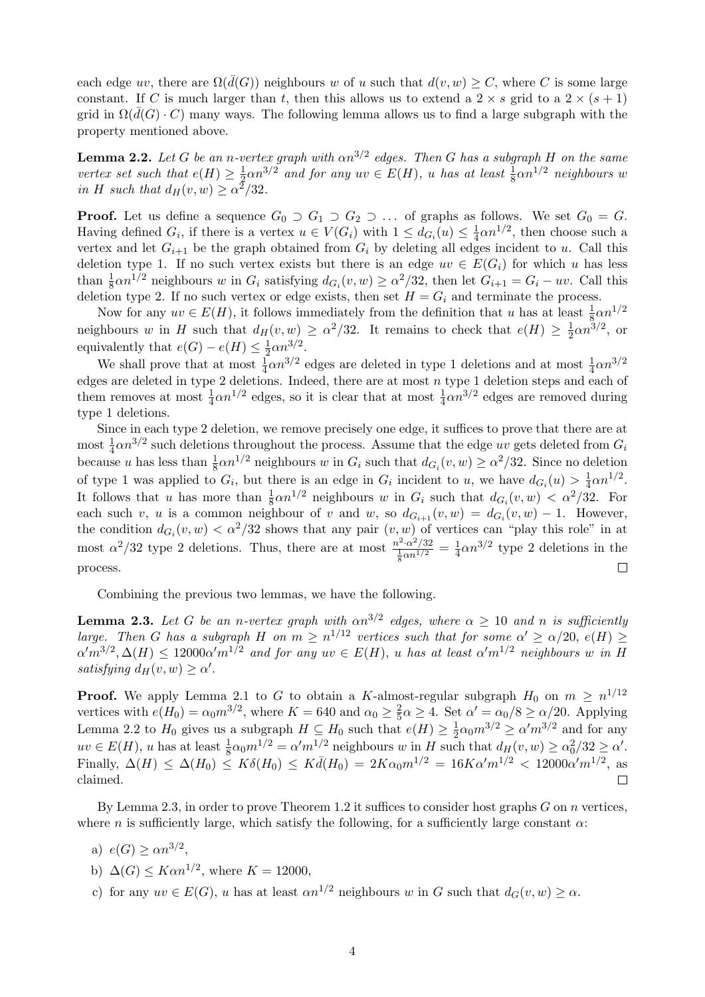each edge uv, there are  $\Omega(d(G))$  neighbours w of u such that  $d(v, w) \geq C$ , where C is some large constant. If C is much larger than t, then this allows us to extend a  $2 \times s$  grid to a  $2 \times (s + 1)$ grid in  $\Omega(d(G) \cdot C)$  many ways. The following lemma allows us to find a large subgraph with the property mentioned above.

<span id="page-3-0"></span>**Lemma 2.2.** Let G be an n-vertex graph with  $\alpha n^{3/2}$  edges. Then G has a subgraph H on the same vertex set such that  $e(H) \geq \frac{1}{2}$  $\frac{1}{2}\alpha n^{3/2}$  and for any  $uv \in E(H)$ , u has at least  $\frac{1}{8}\alpha n^{1/2}$  neighbours w in H such that  $d_H(v, w) \geq \alpha^2/32$ .

**Proof.** Let us define a sequence  $G_0 \supset G_1 \supset G_2 \supset \dots$  of graphs as follows. We set  $G_0 = G$ . Having defined  $G_i$ , if there is a vertex  $u \in V(G_i)$  with  $1 \leq d_{G_i}(u) \leq \frac{1}{4}$  $\frac{1}{4}\alpha n^{1/2}$ , then choose such a vertex and let  $G_{i+1}$  be the graph obtained from  $G_i$  by deleting all edges incident to u. Call this deletion type 1. If no such vertex exists but there is an edge  $uv \in E(G_i)$  for which u has less than  $\frac{1}{8}\alpha n^{1/2}$  neighbours w in  $G_i$  satisfying  $d_{G_i}(v, w) \ge \alpha^2/32$ , then let  $G_{i+1} = G_i - uv$ . Call this deletion type 2. If no such vertex or edge exists, then set  $H = G_i$  and terminate the process.

Now for any  $uv \in E(H)$ , it follows immediately from the definition that u has at least  $\frac{1}{8} \alpha n^{1/2}$ neighbours w in H such that  $d_H(v, w) \ge \alpha^2/32$ . It remains to check that  $e(H) \ge \frac{1}{2}$  $\frac{1}{2}\alpha n^{3/2}$ , or equivalently that  $e(G) - e(H) \leq \frac{1}{2}$  $rac{1}{2}\alpha n^{3/2}$ .

We shall prove that at most  $\frac{1}{4}\alpha n^{3/2}$  edges are deleted in type 1 deletions and at most  $\frac{1}{4}\alpha n^{3/2}$ edges are deleted in type 2 deletions. Indeed, there are at most  $n$  type 1 deletion steps and each of them removes at most  $\frac{1}{4}\alpha n^{1/2}$  edges, so it is clear that at most  $\frac{1}{4}\alpha n^{3/2}$  edges are removed during type 1 deletions.

Since in each type 2 deletion, we remove precisely one edge, it suffices to prove that there are at most  $\frac{1}{4}\alpha n^{3/2}$  such deletions throughout the process. Assume that the edge uv gets deleted from  $G_i$ because u has less than  $\frac{1}{8}\alpha n^{1/2}$  neighbours w in  $G_i$  such that  $d_{G_i}(v, w) \ge \alpha^2/32$ . Since no deletion of type 1 was applied to  $G_i$ , but there is an edge in  $G_i$  incident to u, we have  $d_{G_i}(u) > \frac{1}{4}$  $rac{1}{4}\alpha n^{1/2}$ . It follows that u has more than  $\frac{1}{8}\alpha n^{1/2}$  neighbours w in  $G_i$  such that  $d_{G_i}(v, w) < \alpha^2/32$ . For each such v, u is a common neighbour of v and w, so  $d_{G_{i+1}}(v, w) = d_{G_i}(v, w) - 1$ . However, the condition  $d_{G_i}(v, w) < \alpha^2/32$  shows that any pair  $(v, w)$  of vertices can "play this role" in at most  $\alpha^2/32$  type 2 deletions. Thus, there are at most  $\frac{n^2 \cdot \alpha^2/32}{\frac{1}{8}\alpha n^{1/2}} = \frac{1}{4}$  $\frac{1}{4}\alpha n^{3/2}$  type 2 deletions in the process.  $\Box$ 

Combining the previous two lemmas, we have the following.

<span id="page-3-1"></span>**Lemma 2.3.** Let G be an n-vertex graph with  $\alpha n^{3/2}$  edges, where  $\alpha \geq 10$  and n is sufficiently large. Then G has a subgraph H on  $m \geq n^{1/12}$  vertices such that for some  $\alpha' \geq \alpha/20$ ,  $e(H) \geq$  $\alpha'm^{3/2}, \Delta(H) \leq 12000 \alpha' m^{1/2}$  and for any  $uv \in E(H)$ , u has at least  $\alpha'm^{1/2}$  neighbours w in H satisfying  $d_H(v, w) \geq \alpha'$ .

**Proof.** We apply Lemma [2.1](#page-2-0) to G to obtain a K-almost-regular subgraph  $H_0$  on  $m \geq n^{1/12}$ vertices with  $e(H_0) = \alpha_0 m^{3/2}$ , where  $K = 640$  and  $\alpha_0 \geq \frac{2}{5}$  $\frac{2}{5}\alpha \geq 4$ . Set  $\alpha' = \alpha_0/8 \geq \alpha/20$ . Applying Lemma [2.2](#page-3-0) to  $H_0$  gives us a subgraph  $H \subseteq H_0$  such that  $e(H) \geq \frac{1}{2}$  $\frac{1}{2}\alpha_0 m^{3/2} \ge \alpha' m^{3/2}$  and for any  $uv \in E(H)$ , u has at least  $\frac{1}{8}\alpha_0 m^{1/2} = \alpha' m^{1/2}$  neighbours w in H such that  $d_H(v, w) \ge \alpha_0^2/32 \ge \alpha'$ . Finally,  $\Delta(H) \leq \Delta(H_0) \leq K \delta(H_0) \leq K \bar{d}(H_0) = 2K\alpha_0 m^{1/2} = 16K\alpha' m^{1/2} < 12000\alpha' m^{1/2}$ , as claimed.  $\Box$ 

By Lemma [2.3,](#page-3-1) in order to prove Theorem [1.2](#page-1-1) it suffices to consider host graphs  $G$  on  $n$  vertices, where n is sufficiently large, which satisfy the following, for a sufficiently large constant  $\alpha$ :

- <span id="page-3-2"></span>a)  $e(G) \ge \alpha n^{3/2}$ ,
- b)  $\Delta(G) \leq K \alpha n^{1/2}$ , where  $K = 12000$ ,
- <span id="page-3-3"></span>c) for any  $uv \in E(G)$ , u has at least  $\alpha n^{1/2}$  neighbours w in G such that  $d_G(v, w) \geq \alpha$ .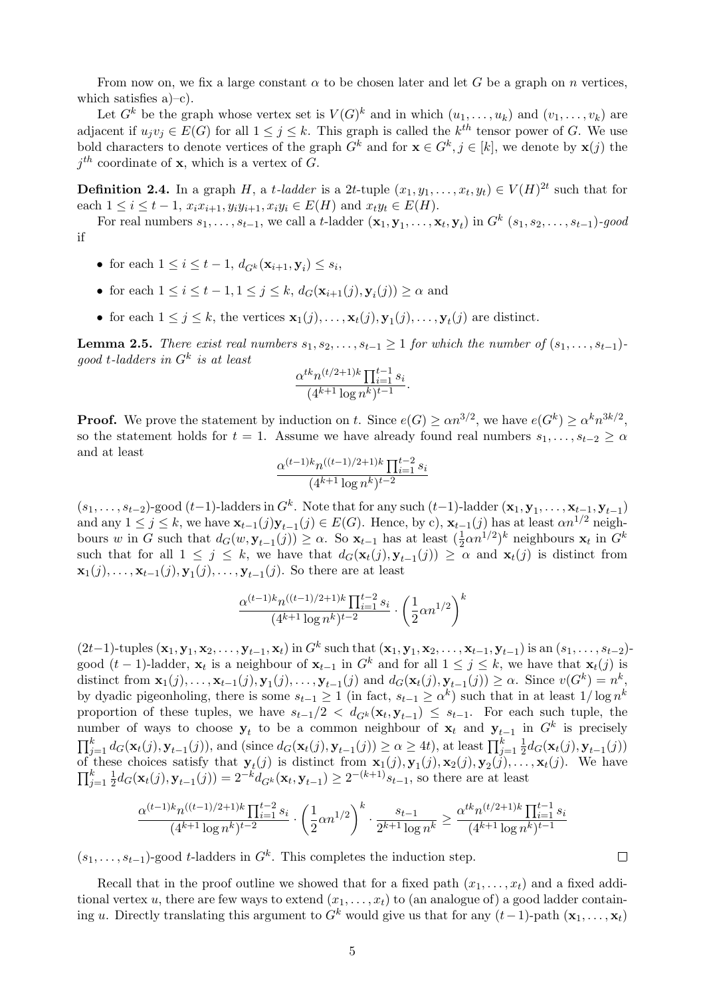From now on, we fix a large constant  $\alpha$  to be chosen later and let G be a graph on n vertices, which satisfies  $a$ –[c\).](#page-3-3)

Let  $G^k$  be the graph whose vertex set is  $V(G)^k$  and in which  $(u_1, \ldots, u_k)$  and  $(v_1, \ldots, v_k)$  are adjacent if  $u_jv_j \in E(G)$  for all  $1 \leq j \leq k$ . This graph is called the  $k^{th}$  tensor power of G. We use bold characters to denote vertices of the graph  $G^k$  and for  $\mathbf{x} \in G^k$ ,  $j \in [k]$ , we denote by  $\mathbf{x}(j)$  the  $j<sup>th</sup>$  coordinate of **x**, which is a vertex of G.

**Definition 2.4.** In a graph H, a t-ladder is a 2t-tuple  $(x_1, y_1, \ldots, x_t, y_t) \in V(H)^{2t}$  such that for each  $1 \le i \le t - 1$ ,  $x_i x_{i+1}, y_i y_{i+1}, x_i y_i \in E(H)$  and  $x_i y_t \in E(H)$ .

For real numbers  $s_1, \ldots, s_{t-1}$ , we call a t-ladder  $(\mathbf{x}_1, \mathbf{y}_1, \ldots, \mathbf{x}_t, \mathbf{y}_t)$  in  $G^k$   $(s_1, s_2, \ldots, s_{t-1})$ -good if

- for each  $1 \leq i \leq t-1$ ,  $d_{G^k}(\mathbf{x}_{i+1}, \mathbf{y}_i) \leq s_i$ ,
- for each  $1 \leq i \leq t-1, 1 \leq j \leq k$ ,  $d_G(\mathbf{x}_{i+1}(j), \mathbf{y}_i(j)) \geq \alpha$  and
- for each  $1 \leq j \leq k$ , the vertices  $\mathbf{x}_1(j), \ldots, \mathbf{x}_t(j), \mathbf{y}_1(j), \ldots, \mathbf{y}_t(j)$  are distinct.

<span id="page-4-0"></span>**Lemma 2.5.** There exist real numbers  $s_1, s_2, \ldots, s_{t-1} \geq 1$  for which the number of  $(s_1, \ldots, s_{t-1})$  $good$  t-ladders in  $G^k$  is at least

$$
\frac{\alpha^{tk}n^{(t/2+1)k}\prod_{i=1}^{t-1}s_i}{(4^{k+1}\log n^k)^{t-1}}.
$$

**Proof.** We prove the statement by induction on t. Since  $e(G) \ge \alpha n^{3/2}$ , we have  $e(G^k) \ge \alpha^k n^{3k/2}$ , so the statement holds for  $t = 1$ . Assume we have already found real numbers  $s_1, \ldots, s_{t-2} \geq \alpha$ and at least

$$
\frac{\alpha^{(t-1)k}n^{((t-1)/2+1)k}\prod_{i=1}^{t-2}s_i}{(4^{k+1}\log n^k)^{t-2}}
$$

 $(s_1, \ldots, s_{t-2})$ -good  $(t-1)$ -ladders in  $G^k$ . Note that for any such  $(t-1)$ -ladder  $(\mathbf{x}_1, \mathbf{y}_1, \ldots, \mathbf{x}_{t-1}, \mathbf{y}_{t-1})$ and any  $1 \leq j \leq k$ , we have  $\mathbf{x}_{t-1}(j)\mathbf{y}_{t-1}(j) \in E(G)$ . Hence, by [c\),](#page-3-3)  $\mathbf{x}_{t-1}(j)$  has at least  $\alpha n^{1/2}$  neighbours w in G such that  $d_G(w, \mathbf{y}_{t-1}(j)) \geq \alpha$ . So  $\mathbf{x}_{t-1}$  has at least  $(\frac{1}{2}\alpha n^{1/2})^k$  neighbours  $\mathbf{x}_t$  in  $G^k$ such that for all  $1 \leq j \leq k$ , we have that  $d_G(\mathbf{x}_t(j), \mathbf{y}_{t-1}(j)) \geq \alpha$  and  $\mathbf{x}_t(j)$  is distinct from  $\mathbf{x}_1(j), \ldots, \mathbf{x}_{t-1}(j), \mathbf{y}_1(j), \ldots, \mathbf{y}_{t-1}(j)$ . So there are at least

$$
\frac{\alpha^{(t-1)k}n^{((t-1)/2+1)k}\prod_{i=1}^{t-2}s_i}{(4^{k+1}\log n^k)^{t-2}}\cdot\left(\frac{1}{2}\alpha n^{1/2}\right)^k
$$

 $(2t-1)$ -tuples  $({\bf x}_1, {\bf y}_1, {\bf x}_2, \ldots, {\bf y}_{t-1}, {\bf x}_t)$  in  $G^k$  such that  $({\bf x}_1, {\bf y}_1, {\bf x}_2, \ldots, {\bf x}_{t-1}, {\bf y}_{t-1})$  is an  $(s_1, \ldots, s_{t-2})$ good  $(t-1)$ -ladder,  $\mathbf{x}_t$  is a neighbour of  $\mathbf{x}_{t-1}$  in  $G^k$  and for all  $1 \leq j \leq k$ , we have that  $\mathbf{x}_t(j)$  is distinct from  $\mathbf{x}_1(j), \ldots, \mathbf{x}_{t-1}(j), \mathbf{y}_1(j), \ldots, \mathbf{y}_{t-1}(j)$  and  $d_G(\mathbf{x}_t(j), \mathbf{y}_{t-1}(j)) \geq \alpha$ . Since  $v(G^k) = n^k$ , by dyadic pigeonholing, there is some  $s_{t-1} \geq 1$  (in fact,  $s_{t-1} \geq \alpha^k$ ) such that in at least  $1/\log n^k$ proportion of these tuples, we have  $s_{t-1}/2 < d_{G^k}(\mathbf{x}_t, \mathbf{y}_{t-1}) \leq s_{t-1}$ . For each such tuple, the number of ways to choose  $y_t$  to be a common neighbour of  $x_t$  and  $y_{t-1}$  in  $G^k$  is precisely  $\prod_{j=1}^k d_G(\mathbf{x}_t(j), \mathbf{y}_{t-1}(j))$ , and (since  $d_G(\mathbf{x}_t(j), \mathbf{y}_{t-1}(j)) \ge \alpha \ge 4t$ ), at least  $\prod_{j=1}^k \frac{1}{2}$  $\frac{1}{2}d_G(\mathbf{x}_t(j), \mathbf{y}_{t-1}(j))$ of these choices satisfy that  $y_t(j)$  is distinct from  $x_1(j), y_1(j), x_2(j), y_2(j), \ldots, x_t(j)$ . We have  $\prod_{j=1}^k \frac{1}{2}$  $\frac{1}{2}d_G(\mathbf{x}_t(j), \mathbf{y}_{t-1}(j)) = 2^{-k}d_{G^k}(\mathbf{x}_t, \mathbf{y}_{t-1}) \geq 2^{-(k+1)}s_{t-1}$ , so there are at least

$$
\frac{\alpha^{(t-1)k}n^{((t-1)/2+1)k}\prod_{i=1}^{t-2}s_i}{(4^{k+1}\log n^k)^{t-2}}\cdot\left(\frac{1}{2}\alpha n^{1/2}\right)^k\cdot\frac{s_{t-1}}{2^{k+1}\log n^k}\geq\frac{\alpha^{tk}n^{(t/2+1)k}\prod_{i=1}^{t-1}s_i}{(4^{k+1}\log n^k)^{t-1}}
$$

 $(s_1, \ldots, s_{t-1})$ -good t-ladders in  $G^k$ . This completes the induction step.

Recall that in the proof outline we showed that for a fixed path  $(x_1, \ldots, x_t)$  and a fixed additional vertex u, there are few ways to extend  $(x_1, \ldots, x_t)$  to (an analogue of) a good ladder containing u. Directly translating this argument to  $G^k$  would give us that for any  $(t-1)$ -path  $(\mathbf{x}_1, \ldots, \mathbf{x}_t)$ 

 $\Box$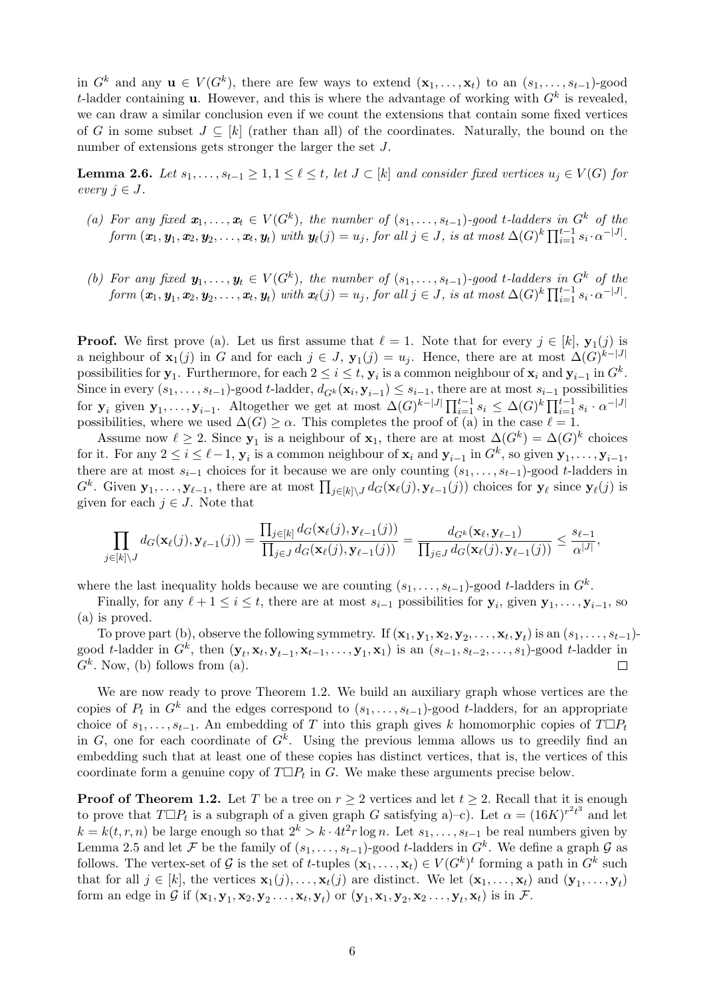in  $G^k$  and any  $\mathbf{u} \in V(G^k)$ , there are few ways to extend  $(\mathbf{x}_1,\ldots,\mathbf{x}_t)$  to an  $(s_1,\ldots,s_{t-1})$ -good t-ladder containing **u**. However, and this is where the advantage of working with  $G<sup>k</sup>$  is revealed, we can draw a similar conclusion even if we count the extensions that contain some fixed vertices of G in some subset  $J \subseteq [k]$  (rather than all) of the coordinates. Naturally, the bound on the number of extensions gets stronger the larger the set J.

<span id="page-5-2"></span>**Lemma 2.6.** Let  $s_1, \ldots, s_{t-1} \geq 1, 1 \leq \ell \leq t$ , let  $J \subset [k]$  and consider fixed vertices  $u_j \in V(G)$  for every  $j \in J$ .

- <span id="page-5-0"></span>(a) For any fixed  $x_1, \ldots, x_t \in V(G^k)$ , the number of  $(s_1, \ldots, s_{t-1})$ -good t-ladders in  $G^k$  of the  $\textit{form } (\textbf{\textit{x}}_1,\textbf{\textit{y}}_1,\textbf{\textit{x}}_2,\textbf{\textit{y}}_2,\dots,\textbf{\textit{x}}_t,\textbf{\textit{y}}_t) \text{ with } \textbf{\textit{y}}_\ell(j)=u_j, \textit{for all } j \in J, \textit{ is at most } \Delta(G)^k \prod_{i=1}^{t-1} s_i \cdot \alpha^{-|J|}.$
- <span id="page-5-1"></span>(b) For any fixed  $y_1, \ldots, y_t \in V(G^k)$ , the number of  $(s_1, \ldots, s_{t-1})$ -good t-ladders in  $G^k$  of the  $\textit{form } (\textbf{\textit{x}}_1,\textbf{\textit{y}}_1,\textbf{\textit{x}}_2,\textbf{\textit{y}}_2,\dots,\textbf{\textit{x}}_t,\textbf{\textit{y}}_t) \text{ with } \textbf{\textit{x}}_\ell(j) = u_j, \textit{for all } j \in J, \textit{ is at most } \Delta(G)^k \prod_{i=1}^{t-1} s_i \cdot \alpha^{-|J|}.$

**Proof.** We first prove [\(a\).](#page-5-0) Let us first assume that  $\ell = 1$ . Note that for every  $j \in [k]$ ,  $\mathbf{y}_1(j)$  is a neighbour of  $\mathbf{x}_1(j)$  in G and for each  $j \in J$ ,  $\mathbf{y}_1(j) = u_j$ . Hence, there are at most  $\Delta(G)^{k-|J|}$ possibilities for  $y_1$ . Furthermore, for each  $2 \le i \le t$ ,  $y_i$  is a common neighbour of  $x_i$  and  $y_{i-1}$  in  $G^k$ . Since in every  $(s_1, \ldots, s_{t-1})$ -good t-ladder,  $d_{G^k}(\mathbf{x}_i, \mathbf{y}_{i-1}) \leq s_{i-1}$ , there are at most  $s_{i-1}$  possibilities for  $y_i$  given  $y_1, \ldots, y_{i-1}$ . Altogether we get at most  $\Delta(G)^{k-|J|} \prod_{i=1}^{t-1} s_i \leq \Delta(G)^k \prod_{i=1}^{t-1} s_i \cdot \alpha^{-|J|}$ possibilities, where we used  $\Delta(G) \geq \alpha$ . This completes the proof of [\(a\)](#page-5-0) in the case  $\ell = 1$ .

Assume now  $\ell \geq 2$ . Since  $y_1$  is a neighbour of  $x_1$ , there are at most  $\Delta(G^k) = \Delta(G)^k$  choices for it. For any  $2 \leq i \leq \ell - 1$ ,  $y_i$  is a common neighbour of  $x_i$  and  $y_{i-1}$  in  $G^k$ , so given  $y_1, \ldots, y_{i-1}$ , there are at most  $s_{i-1}$  choices for it because we are only counting  $(s_1, \ldots, s_{t-1})$ -good t-ladders in  $G^k$ . Given  $\mathbf{y}_1,\ldots,\mathbf{y}_{\ell-1}$ , there are at most  $\prod_{j\in[k]\setminus J} d_G(\mathbf{x}_{\ell}(j), \mathbf{y}_{\ell-1}(j))$  choices for  $\mathbf{y}_{\ell}$  since  $\mathbf{y}_{\ell}(j)$  is given for each  $j \in J$ . Note that

$$
\prod_{j\in[k]\setminus J}d_G(\mathbf{x}_{\ell}(j),\mathbf{y}_{\ell-1}(j))=\frac{\prod_{j\in[k]}d_G(\mathbf{x}_{\ell}(j),\mathbf{y}_{\ell-1}(j))}{\prod_{j\in J}d_G(\mathbf{x}_{\ell}(j),\mathbf{y}_{\ell-1}(j))}=\frac{d_{G^k}(\mathbf{x}_{\ell},\mathbf{y}_{\ell-1})}{\prod_{j\in J}d_G(\mathbf{x}_{\ell}(j),\mathbf{y}_{\ell-1}(j))}\leq \frac{s_{\ell-1}}{\alpha^{|J|}},
$$

where the last inequality holds because we are counting  $(s_1, \ldots, s_{t-1})$ -good t-ladders in  $G^k$ .

Finally, for any  $\ell + 1 \leq i \leq t$ , there are at most  $s_{i-1}$  possibilities for  $y_i$ , given  $y_1, \ldots, y_{i-1}$ , so [\(a\)](#page-5-0) is proved.

To prove part [\(b\),](#page-5-1) observe the following symmetry. If  $(\mathbf{x}_1, \mathbf{y}_1, \mathbf{x}_2, \mathbf{y}_2, \ldots, \mathbf{x}_t, \mathbf{y}_t)$  is an  $(s_1, \ldots, s_{t-1})$ good t-ladder in  $G^k$ , then  $(\mathbf{y}_t, \mathbf{x}_t, \mathbf{y}_{t-1}, \mathbf{x}_{t-1}, \ldots, \mathbf{y}_1, \mathbf{x}_1)$  is an  $(s_{t-1}, s_{t-2}, \ldots, s_1)$ -good t-ladder in  $G<sup>k</sup>$ . Now, [\(b\)](#page-5-1) follows from [\(a\).](#page-5-0)  $\Box$ 

We are now ready to prove Theorem [1.2.](#page-1-1) We build an auxiliary graph whose vertices are the copies of  $P_t$  in  $G^k$  and the edges correspond to  $(s_1, \ldots, s_{t-1})$ -good t-ladders, for an appropriate choice of  $s_1, \ldots, s_{t-1}$ . An embedding of T into this graph gives k homomorphic copies of  $T \Box P_t$ in G, one for each coordinate of  $G^k$ . Using the previous lemma allows us to greedily find an embedding such that at least one of these copies has distinct vertices, that is, the vertices of this coordinate form a genuine copy of  $T \Box P_t$  in G. We make these arguments precise below.

**Proof of Theorem [1.2.](#page-1-1)** Let T be a tree on  $r \geq 2$  vertices and let  $t \geq 2$ . Recall that it is enough to prove that  $T \Box P_t$  is a subgraph of a given graph G satisfying [a\)](#page-3-2)-c). Let  $\alpha = (16K)^{r^2t^3}$  and let  $k = k(t, r, n)$  be large enough so that  $2^k > k \cdot 4t^2 r \log n$ . Let  $s_1, \ldots, s_{t-1}$  be real numbers given by Lemma [2.5](#page-4-0) and let F be the family of  $(s_1, \ldots, s_{t-1})$ -good t-ladders in  $G^k$ . We define a graph G as follows. The vertex-set of G is the set of t-tuples  $(\mathbf{x}_1,\ldots,\mathbf{x}_t) \in V(G^k)^t$  forming a path in  $G^k$  such that for all  $j \in [k]$ , the vertices  $\mathbf{x}_1(j), \ldots, \mathbf{x}_t(j)$  are distinct. We let  $(\mathbf{x}_1, \ldots, \mathbf{x}_t)$  and  $(\mathbf{y}_1, \ldots, \mathbf{y}_t)$ form an edge in G if  $(\mathbf{x}_1, \mathbf{y}_1, \mathbf{x}_2, \mathbf{y}_2, \dots, \mathbf{x}_t, \mathbf{y}_t)$  or  $(\mathbf{y}_1, \mathbf{x}_1, \mathbf{y}_2, \mathbf{x}_2, \dots, \mathbf{y}_t, \mathbf{x}_t)$  is in F.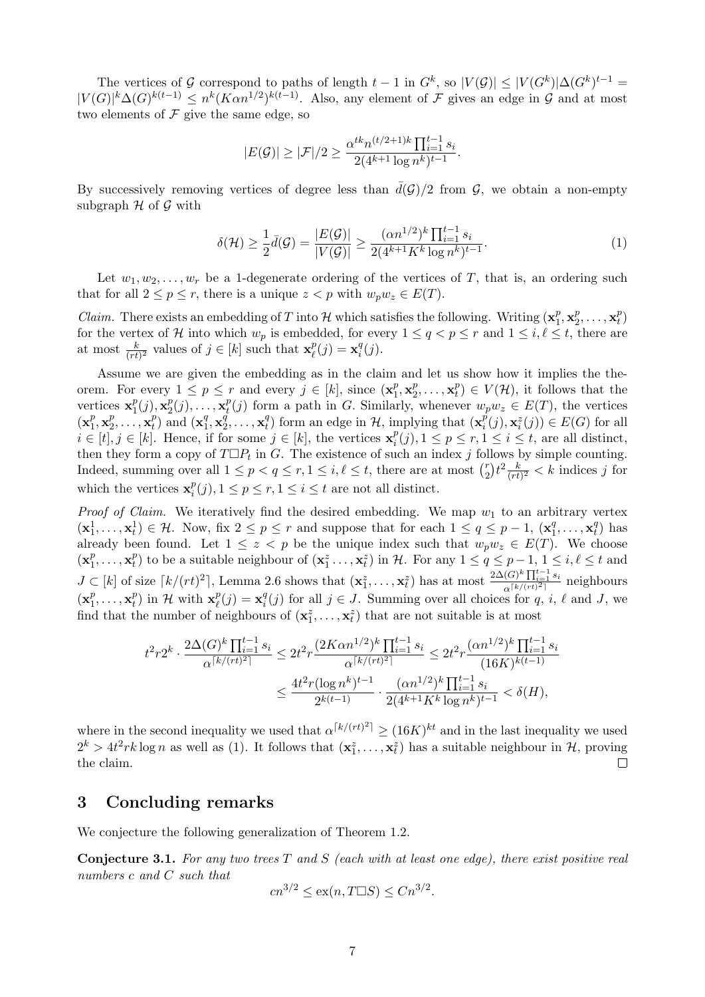The vertices of G correspond to paths of length  $t-1$  in  $G^k$ , so  $|V(\mathcal{G})| \leq |V(G^k)| \Delta(G^k)^{t-1} =$  $|V(G)|^k \Delta(G)^{k(t-1)} \leq n^k (K \alpha n^{1/2})^{k(t-1)}$ . Also, any element of F gives an edge in G and at most two elements of  $\mathcal F$  give the same edge, so

$$
|E(\mathcal{G})| \geq |\mathcal{F}|/2 \geq \frac{\alpha^{tk} n^{(t/2+1)k} \prod_{i=1}^{t-1} s_i}{2(4^{k+1} \log n^k)^{t-1}}.
$$

By successively removing vertices of degree less than  $\bar{d}(\mathcal{G})/2$  from  $\mathcal{G}$ , we obtain a non-empty subgraph  $H$  of  $G$  with

<span id="page-6-0"></span>
$$
\delta(\mathcal{H}) \ge \frac{1}{2}\bar{d}(\mathcal{G}) = \frac{|E(\mathcal{G})|}{|V(\mathcal{G})|} \ge \frac{(\alpha n^{1/2})^k \prod_{i=1}^{t-1} s_i}{2(4^{k+1}K^k \log n^k)^{t-1}}.
$$
\n(1)

Let  $w_1, w_2, \ldots, w_r$  be a 1-degenerate ordering of the vertices of T, that is, an ordering such that for all  $2 \le p \le r$ , there is a unique  $z < p$  with  $w_p w_z \in E(T)$ .

*Claim.* There exists an embedding of T into H which satisfies the following. Writing  $(\mathbf{x}_1^p)$  $_1^p$ ,  $\mathbf{x}_2^p$  $x_2^p, \ldots, \mathbf{x}_t^p$  $\binom{p}{t}$ for the vertex of H into which  $w_p$  is embedded, for every  $1 \le q < p \le r$  and  $1 \le i, \ell \le t$ , there are at most  $\frac{k}{(rt)^2}$  values of  $j \in [k]$  such that  $\mathbf{x}_{\ell}^p$  $\mathbf{r}_{\ell}^{p}(j) = \mathbf{x}_{i}^{q}$  $_i^q(j)$ .

Assume we are given the embedding as in the claim and let us show how it implies the theorem. For every  $1 \leq p \leq r$  and every  $j \in [k]$ , since  $(\mathbf{x}_1^p)$  $_1^p$ ,  $\mathbf{x}_2^p$  $\frac{p}{2}, \ldots, \mathbf{x}_t^p$  $t(t) \in V(\mathcal{H})$ , it follows that the vertices  $\mathbf{x}_1^p$  $_{1}^{p}(j),\mathbf{x}_{2}^{p}%$  $\frac{p}{2}(j), \ldots, \mathbf{x}_t^p$  $_t^p(j)$  form a path in G. Similarly, whenever  $w_p w_z \in E(T)$ , the vertices  $(\mathbf{x}_1^p)$  $_1^p$ ,  $\mathbf{x}_2^p$  $\mathbf{z}_2^p, \ldots, \mathbf{x}_t^p$  $\binom{p}{t}$  and  $\left(\mathbf{x}_1^q\right)$  $q_1^q, \mathbf{x}^q_2$  $\overset{\widetilde{q}}{2},\ldots,\mathbf{x}^q_t$  $_{t}^{q}$ ) form an edge in  $H$ , implying that  $(\mathbf{x}_{i}^{p})$  $\overline{P}_i^{\overline{p}}(j), \mathbf{x}_i^z(j)) \in E(G)$  for all  $i \in [t], j \in [k]$ . Hence, if for some  $j \in [k]$ , the vertices  $\mathbf{x}_i^p$  $i^p(i)$ ,  $1 \leq p \leq r, 1 \leq i \leq t$ , are all distinct, then they form a copy of  $T \Box P_t$  in G. The existence of such an index j follows by simple counting. Indeed, summing over all  $1 \leq p < q \leq r, 1 \leq i, \ell \leq t$ , there are at most  $\binom{r}{2}$  $\binom{r}{2}t^2\frac{k}{(rt)}$  $\frac{k}{(rt)^2}$  < k indices j for which the vertices  $\mathbf{x}_i^p$  $i^p(i)$ ,  $1 \leq p \leq r$ ,  $1 \leq i \leq t$  are not all distinct.

*Proof of Claim.* We iteratively find the desired embedding. We map  $w_1$  to an arbitrary vertex  $(\mathbf{x}_1^1,\ldots,\mathbf{x}_t^1) \in \mathcal{H}$ . Now, fix  $2 \leq p \leq r$  and suppose that for each  $1 \leq q \leq p-1$ ,  $(\mathbf{x}_1^q)$  $\overline{A}_1^q, \ldots, \overline{A}_t^q$  $\binom{q}{t}$  has already been found. Let  $1 \leq z < p$  be the unique index such that  $w_p w_z \in E(T)$ . We choose  $(\mathbf{x}_1^p)$  $\mathbf{r}_1^p, \ldots, \mathbf{x}_t^p$  $_t^p$  to be a suitable neighbour of  $(\mathbf{x}_1^z \ldots, \mathbf{x}_t^z)$  in H. For any  $1 \le q \le p-1, 1 \le i, \ell \le t$  and  $J \subset [k]$  of size  $\lceil k/(rt)^2 \rceil$ , Lemma [2.6](#page-5-2) shows that  $(\mathbf{x}_1^z, \ldots, \mathbf{x}_t^z)$  has at most  $\frac{2\Delta(G)^k \prod_{i=1}^{t-1} s_i}{\alpha^{\lceil k/(rt)^2 \rceil}}$  $\frac{\alpha^{k/(rt)} \prod_{i=1} s_i}{\alpha^{k/(rt)^2}}$  neighbours  $(\mathbf{x}_1^p)$  $i_1^p, \ldots, \mathbf{x}_t^p$  $_t^p$ ) in H with  $\mathbf{x}_\ell^p$  $\mathbf{r}_{\ell}^{p}(j) = \mathbf{x}_{i}^{q}$  $i_j^q(j)$  for all  $j \in J$ . Summing over all choices for  $q, i, \ell$  and  $J$ , we find that the number of neighbours of  $(\mathbf{x}_1^z, \ldots, \mathbf{x}_t^z)$  that are not suitable is at most

$$
\begin{aligned} t^2r2^k\cdot\frac{2\Delta(G)^k\prod_{i=1}^{t-1}s_i}{\alpha^{\lceil k/(rt)^2\rceil}} &\leq 2t^2r\frac{(2K\alpha n^{1/2})^k\prod_{i=1}^{t-1}s_i}{\alpha^{\lceil k/(rt)^2\rceil}}\leq 2t^2r\frac{(\alpha n^{1/2})^k\prod_{i=1}^{t-1}s_i}{(16K)^{k(t-1)}}\\ &\leq \frac{4t^2r(\log n^k)^{t-1}}{2^{k(t-1)}}\cdot\frac{(\alpha n^{1/2})^k\prod_{i=1}^{t-1}s_i}{2(4^{k+1}K^k\log n^k)^{t-1}}&<\delta(H), \end{aligned}
$$

where in the second inequality we used that  $\alpha^{[k/(rt)^2]} \ge (16K)^{kt}$  and in the last inequality we used  $2^k > 4t^2rk\log n$  as well as [\(1\)](#page-6-0). It follows that  $(\mathbf{x}_1^z, \ldots, \mathbf{x}_t^z)$  has a suitable neighbour in  $\mathcal{H}$ , proving the claim.  $\Box$ 

# 3 Concluding remarks

We conjecture the following generalization of Theorem [1.2.](#page-1-1)

<span id="page-6-1"></span>**Conjecture 3.1.** For any two trees  $T$  and  $S$  (each with at least one edge), there exist positive real numbers c and C such that

$$
cn^{3/2} \le \text{ex}(n, T \square S) \le Cn^{3/2}.
$$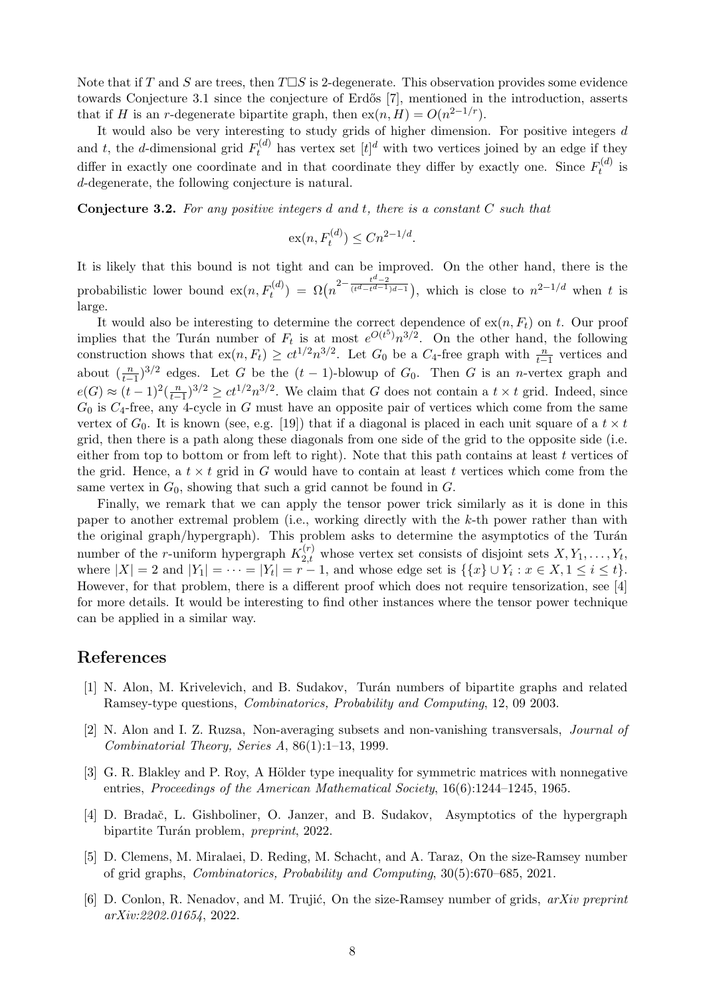Note that if T and S are trees, then  $T\Box S$  is 2-degenerate. This observation provides some evidence towards Conjecture [3.1](#page-6-1) since the conjecture of Erdős [\[7\]](#page-8-12), mentioned in the introduction, asserts that if H is an r-degenerate bipartite graph, then  $ex(n, H) = O(n^{2-1/r})$ .

It would also be very interesting to study grids of higher dimension. For positive integers  $d$ and t, the d-dimensional grid  $F_t^{(d)}$  has vertex set  $[t]^d$  with two vertices joined by an edge if they differ in exactly one coordinate and in that coordinate they differ by exactly one. Since  $F_t^{(d)}$  $t^{(a)}$  is d-degenerate, the following conjecture is natural.

**Conjecture 3.2.** For any positive integers  $d$  and  $t$ , there is a constant  $C$  such that

$$
\operatorname{ex}(n, F_t^{(d)}) \le Cn^{2-1/d}.
$$

It is likely that this bound is not tight and can be improved. On the other hand, there is the probabilistic lower bound  $\mathrm{ex}(n, F_t^{(d)}) = \Omega(n^{2-\frac{t^d-2}{(t^d-t^{d-1})d-1}})$ , which is close to  $n^{2-1/d}$  when t is large.

It would also be interesting to determine the correct dependence of  $ex(n, F_t)$  on t. Our proof implies that the Turán number of  $F_t$  is at most  $e^{O(t^5)}n^{3/2}$ . On the other hand, the following construction shows that  $ex(n, F_t) \geq ct^{1/2}n^{3/2}$ . Let  $G_0$  be a  $C_4$ -free graph with  $\frac{n}{t-1}$  vertices and about  $(\frac{n}{t-1})^{3/2}$  edges. Let G be the  $(t-1)$ -blowup of  $G_0$ . Then G is an n-vertex graph and  $e(G) \approx (t-1)^2(\frac{n}{t-1})^{3/2} \ge ct^{1/2}n^{3/2}$ . We claim that G does not contain a  $t \times t$  grid. Indeed, since  $G_0$  is  $C_4$ -free, any 4-cycle in G must have an opposite pair of vertices which come from the same vertex of  $G_0$ . It is known (see, e.g. [\[19\]](#page-8-13)) that if a diagonal is placed in each unit square of a  $t \times t$ grid, then there is a path along these diagonals from one side of the grid to the opposite side (i.e. either from top to bottom or from left to right). Note that this path contains at least t vertices of the grid. Hence, a  $t \times t$  grid in G would have to contain at least t vertices which come from the same vertex in  $G_0$ , showing that such a grid cannot be found in  $G$ .

Finally, we remark that we can apply the tensor power trick similarly as it is done in this paper to another extremal problem (i.e., working directly with the k-th power rather than with the original graph/hypergraph). This problem asks to determine the asymptotics of the Turán number of the *r*-uniform hypergraph  $K_{2,t}^{(r)}$  whose vertex set consists of disjoint sets  $X, Y_1, \ldots, Y_t$ , where  $|X| = 2$  and  $|Y_1| = \cdots = |Y_t| = r - 1$ , and whose edge set is  $\{\{x\} \cup Y_i : x \in X, 1 \le i \le t\}.$ However, for that problem, there is a different proof which does not require tensorization, see [\[4\]](#page-7-5) for more details. It would be interesting to find other instances where the tensor power technique can be applied in a similar way.

#### References

- <span id="page-7-0"></span>[1] N. Alon, M. Krivelevich, and B. Sudakov, Tur´an numbers of bipartite graphs and related Ramsey-type questions, Combinatorics, Probability and Computing, 12, 09 2003.
- <span id="page-7-3"></span>[2] N. Alon and I. Z. Ruzsa, Non-averaging subsets and non-vanishing transversals, Journal of Combinatorial Theory, Series A, 86(1):1–13, 1999.
- <span id="page-7-4"></span>[3] G. R. Blakley and P. Roy, A Hölder type inequality for symmetric matrices with nonnegative entries, Proceedings of the American Mathematical Society, 16(6):1244–1245, 1965.
- <span id="page-7-5"></span>[4] D. Bradač, L. Gishboliner, O. Janzer, and B. Sudakov, Asymptotics of the hypergraph bipartite Turán problem, *preprint*, 2022.
- <span id="page-7-1"></span>[5] D. Clemens, M. Miralaei, D. Reding, M. Schacht, and A. Taraz, On the size-Ramsey number of grid graphs, Combinatorics, Probability and Computing, 30(5):670–685, 2021.
- <span id="page-7-2"></span>[6] D. Conlon, R. Nenadov, and M. Trujić, On the size-Ramsey number of grids,  $arXiv$  preprint arXiv:2202.01654, 2022.